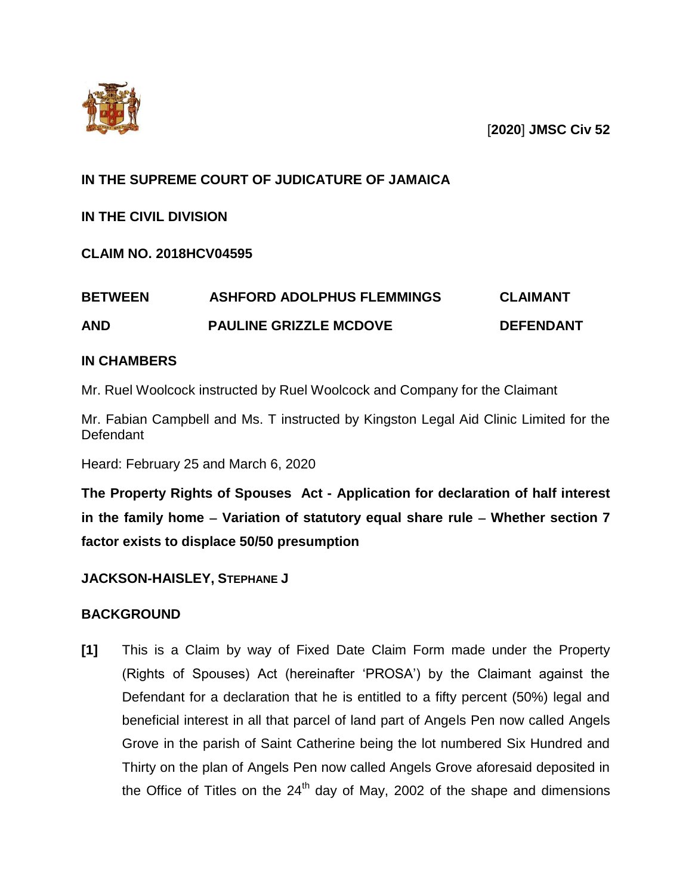



# **IN THE SUPREME COURT OF JUDICATURE OF JAMAICA**

**IN THE CIVIL DIVISION**

**CLAIM NO. 2018HCV04595**

| <b>AND</b>     | <b>PAULINE GRIZZLE MCDOVE</b>     | <b>DEFENDANT</b> |
|----------------|-----------------------------------|------------------|
| <b>BETWEEN</b> | <b>ASHFORD ADOLPHUS FLEMMINGS</b> | <b>CLAIMANT</b>  |

# **IN CHAMBERS**

Mr. Ruel Woolcock instructed by Ruel Woolcock and Company for the Claimant

Mr. Fabian Campbell and Ms. T instructed by Kingston Legal Aid Clinic Limited for the **Defendant** 

Heard: February 25 and March 6, 2020

**The Property Rights of Spouses Act - Application for declaration of half interest in the family home Variation of statutory equal share rule Whether section 7 factor exists to displace 50/50 presumption**

# **JACKSON-HAISLEY, STEPHANE J**

# **BACKGROUND**

**[1]** This is a Claim by way of Fixed Date Claim Form made under the Property (Rights of Spouses) Act (hereinafter 'PROSA') by the Claimant against the Defendant for a declaration that he is entitled to a fifty percent (50%) legal and beneficial interest in all that parcel of land part of Angels Pen now called Angels Grove in the parish of Saint Catherine being the lot numbered Six Hundred and Thirty on the plan of Angels Pen now called Angels Grove aforesaid deposited in the Office of Titles on the  $24<sup>th</sup>$  day of May, 2002 of the shape and dimensions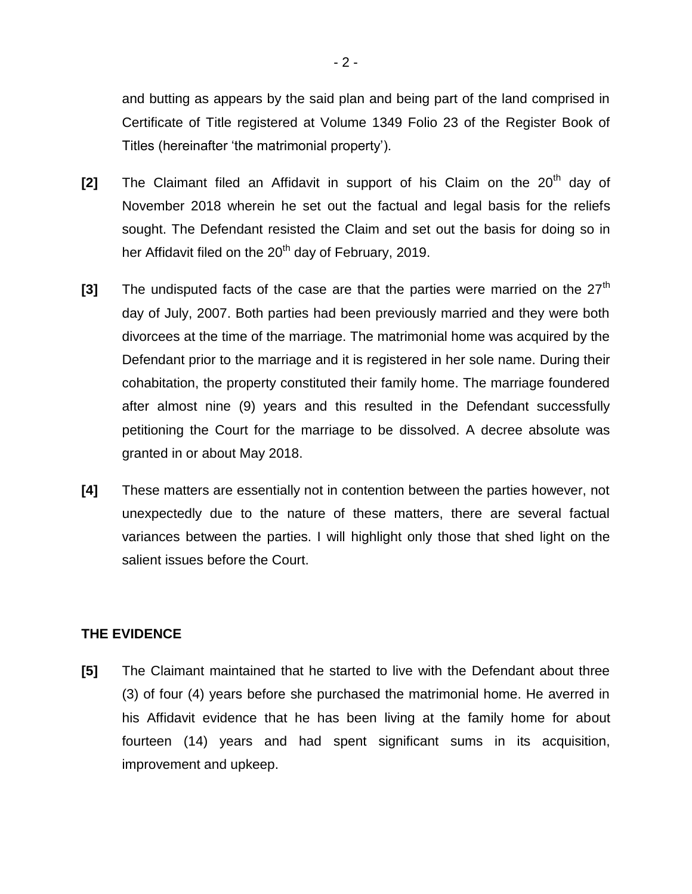and butting as appears by the said plan and being part of the land comprised in Certificate of Title registered at Volume 1349 Folio 23 of the Register Book of Titles (hereinafter 'the matrimonial property').

- **[2]** The Claimant filed an Affidavit in support of his Claim on the 20<sup>th</sup> day of November 2018 wherein he set out the factual and legal basis for the reliefs sought. The Defendant resisted the Claim and set out the basis for doing so in her Affidavit filed on the  $20<sup>th</sup>$  day of February, 2019.
- **[3]** The undisputed facts of the case are that the parties were married on the 27<sup>th</sup> day of July, 2007. Both parties had been previously married and they were both divorcees at the time of the marriage. The matrimonial home was acquired by the Defendant prior to the marriage and it is registered in her sole name. During their cohabitation, the property constituted their family home. The marriage foundered after almost nine (9) years and this resulted in the Defendant successfully petitioning the Court for the marriage to be dissolved. A decree absolute was granted in or about May 2018.
- **[4]** These matters are essentially not in contention between the parties however, not unexpectedly due to the nature of these matters, there are several factual variances between the parties. I will highlight only those that shed light on the salient issues before the Court.

## **THE EVIDENCE**

**[5]** The Claimant maintained that he started to live with the Defendant about three (3) of four (4) years before she purchased the matrimonial home. He averred in his Affidavit evidence that he has been living at the family home for about fourteen (14) years and had spent significant sums in its acquisition, improvement and upkeep.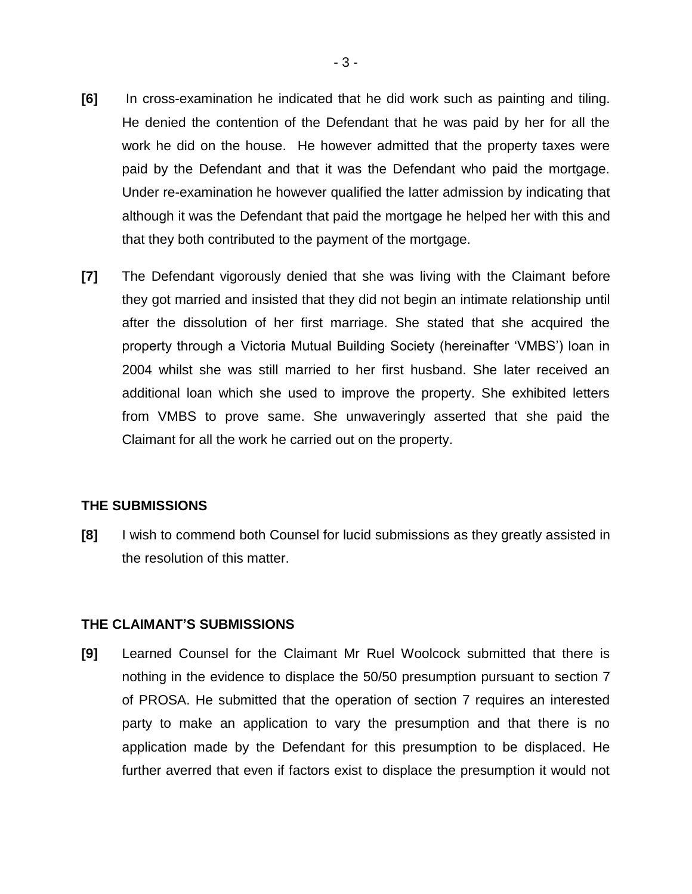- **[6]** In cross-examination he indicated that he did work such as painting and tiling. He denied the contention of the Defendant that he was paid by her for all the work he did on the house. He however admitted that the property taxes were paid by the Defendant and that it was the Defendant who paid the mortgage. Under re-examination he however qualified the latter admission by indicating that although it was the Defendant that paid the mortgage he helped her with this and that they both contributed to the payment of the mortgage.
- **[7]** The Defendant vigorously denied that she was living with the Claimant before they got married and insisted that they did not begin an intimate relationship until after the dissolution of her first marriage. She stated that she acquired the property through a Victoria Mutual Building Society (hereinafter 'VMBS') loan in 2004 whilst she was still married to her first husband. She later received an additional loan which she used to improve the property. She exhibited letters from VMBS to prove same. She unwaveringly asserted that she paid the Claimant for all the work he carried out on the property.

#### **THE SUBMISSIONS**

**[8]** I wish to commend both Counsel for lucid submissions as they greatly assisted in the resolution of this matter.

#### **THE CLAIMANT'S SUBMISSIONS**

**[9]** Learned Counsel for the Claimant Mr Ruel Woolcock submitted that there is nothing in the evidence to displace the 50/50 presumption pursuant to section 7 of PROSA. He submitted that the operation of section 7 requires an interested party to make an application to vary the presumption and that there is no application made by the Defendant for this presumption to be displaced. He further averred that even if factors exist to displace the presumption it would not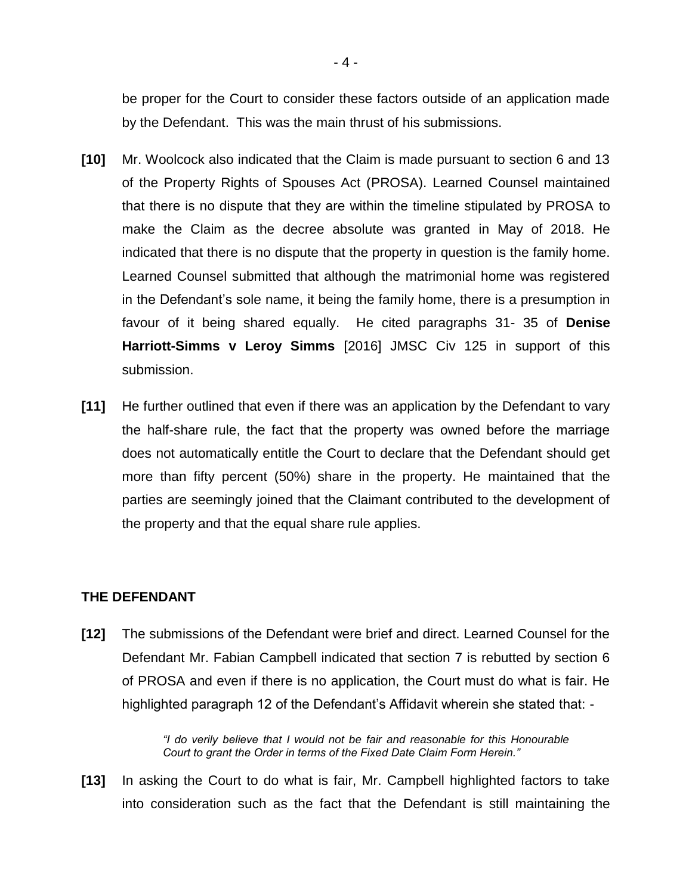be proper for the Court to consider these factors outside of an application made by the Defendant. This was the main thrust of his submissions.

- **[10]** Mr. Woolcock also indicated that the Claim is made pursuant to section 6 and 13 of the Property Rights of Spouses Act (PROSA). Learned Counsel maintained that there is no dispute that they are within the timeline stipulated by PROSA to make the Claim as the decree absolute was granted in May of 2018. He indicated that there is no dispute that the property in question is the family home. Learned Counsel submitted that although the matrimonial home was registered in the Defendant's sole name, it being the family home, there is a presumption in favour of it being shared equally. He cited paragraphs 31- 35 of **Denise Harriott-Simms v Leroy Simms** [2016] JMSC Civ 125 in support of this submission.
- **[11]** He further outlined that even if there was an application by the Defendant to vary the half-share rule, the fact that the property was owned before the marriage does not automatically entitle the Court to declare that the Defendant should get more than fifty percent (50%) share in the property. He maintained that the parties are seemingly joined that the Claimant contributed to the development of the property and that the equal share rule applies.

#### **THE DEFENDANT**

**[12]** The submissions of the Defendant were brief and direct. Learned Counsel for the Defendant Mr. Fabian Campbell indicated that section 7 is rebutted by section 6 of PROSA and even if there is no application, the Court must do what is fair. He highlighted paragraph 12 of the Defendant's Affidavit wherein she stated that: -

> *"I do verily believe that I would not be fair and reasonable for this Honourable Court to grant the Order in terms of the Fixed Date Claim Form Herein."*

**[13]** In asking the Court to do what is fair, Mr. Campbell highlighted factors to take into consideration such as the fact that the Defendant is still maintaining the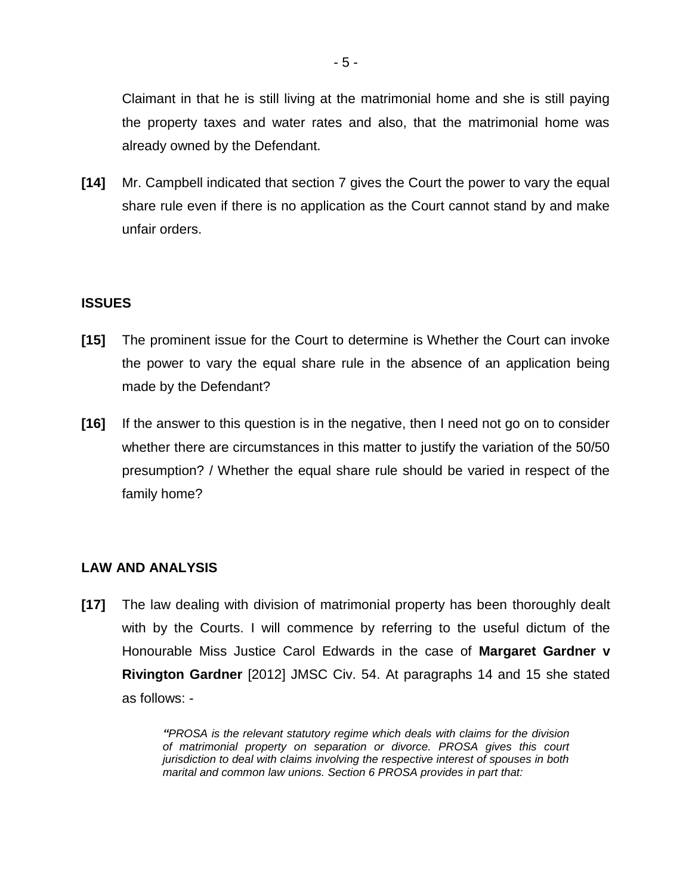Claimant in that he is still living at the matrimonial home and she is still paying the property taxes and water rates and also, that the matrimonial home was already owned by the Defendant.

**[14]** Mr. Campbell indicated that section 7 gives the Court the power to vary the equal share rule even if there is no application as the Court cannot stand by and make unfair orders.

## **ISSUES**

- **[15]** The prominent issue for the Court to determine is Whether the Court can invoke the power to vary the equal share rule in the absence of an application being made by the Defendant?
- **[16]** If the answer to this question is in the negative, then I need not go on to consider whether there are circumstances in this matter to justify the variation of the 50/50 presumption? / Whether the equal share rule should be varied in respect of the family home?

## **LAW AND ANALYSIS**

**[17]** The law dealing with division of matrimonial property has been thoroughly dealt with by the Courts. I will commence by referring to the useful dictum of the Honourable Miss Justice Carol Edwards in the case of **Margaret Gardner v Rivington Gardner** [2012] JMSC Civ. 54. At paragraphs 14 and 15 she stated as follows: -

> *"PROSA is the relevant statutory regime which deals with claims for the division of matrimonial property on separation or divorce. PROSA gives this court jurisdiction to deal with claims involving the respective interest of spouses in both marital and common law unions. Section 6 PROSA provides in part that:*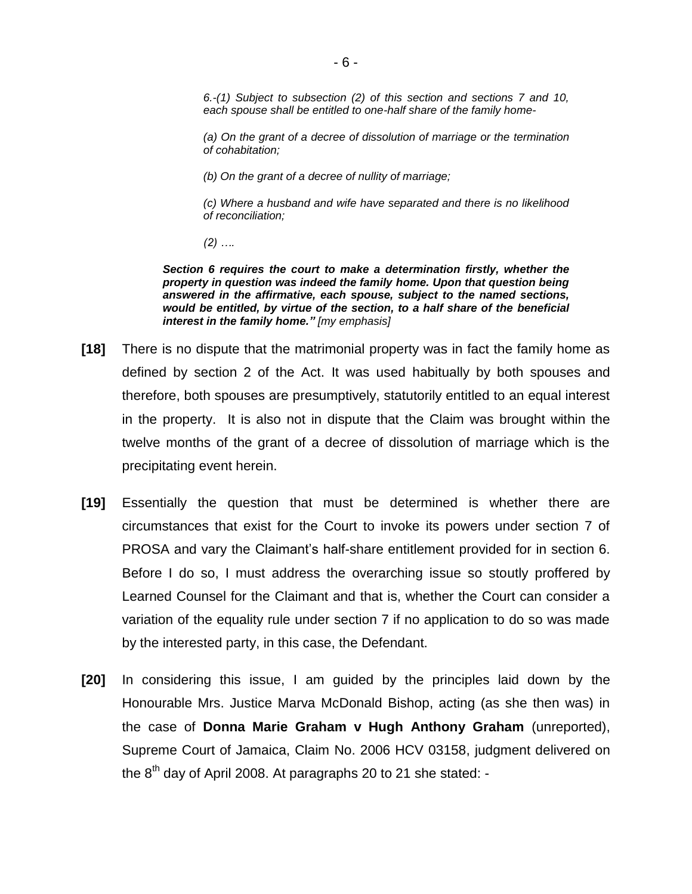*6.-(1) Subject to subsection (2) of this section and sections 7 and 10, each spouse shall be entitled to one-half share of the family home-*

*(a) On the grant of a decree of dissolution of marriage or the termination of cohabitation;*

*(b) On the grant of a decree of nullity of marriage;*

*(c) Where a husband and wife have separated and there is no likelihood of reconciliation;*

*(2) ….*

*Section 6 requires the court to make a determination firstly, whether the property in question was indeed the family home. Upon that question being answered in the affirmative, each spouse, subject to the named sections, would be entitled, by virtue of the section, to a half share of the beneficial interest in the family home." [my emphasis]*

- **[18]** There is no dispute that the matrimonial property was in fact the family home as defined by section 2 of the Act. It was used habitually by both spouses and therefore, both spouses are presumptively, statutorily entitled to an equal interest in the property. It is also not in dispute that the Claim was brought within the twelve months of the grant of a decree of dissolution of marriage which is the precipitating event herein.
- **[19]** Essentially the question that must be determined is whether there are circumstances that exist for the Court to invoke its powers under section 7 of PROSA and vary the Claimant's half-share entitlement provided for in section 6. Before I do so, I must address the overarching issue so stoutly proffered by Learned Counsel for the Claimant and that is, whether the Court can consider a variation of the equality rule under section 7 if no application to do so was made by the interested party, in this case, the Defendant.
- **[20]** In considering this issue, I am guided by the principles laid down by the Honourable Mrs. Justice Marva McDonald Bishop, acting (as she then was) in the case of **Donna Marie Graham v Hugh Anthony Graham** (unreported), Supreme Court of Jamaica, Claim No. 2006 HCV 03158, judgment delivered on the  $8<sup>th</sup>$  day of April 2008. At paragraphs 20 to 21 she stated: -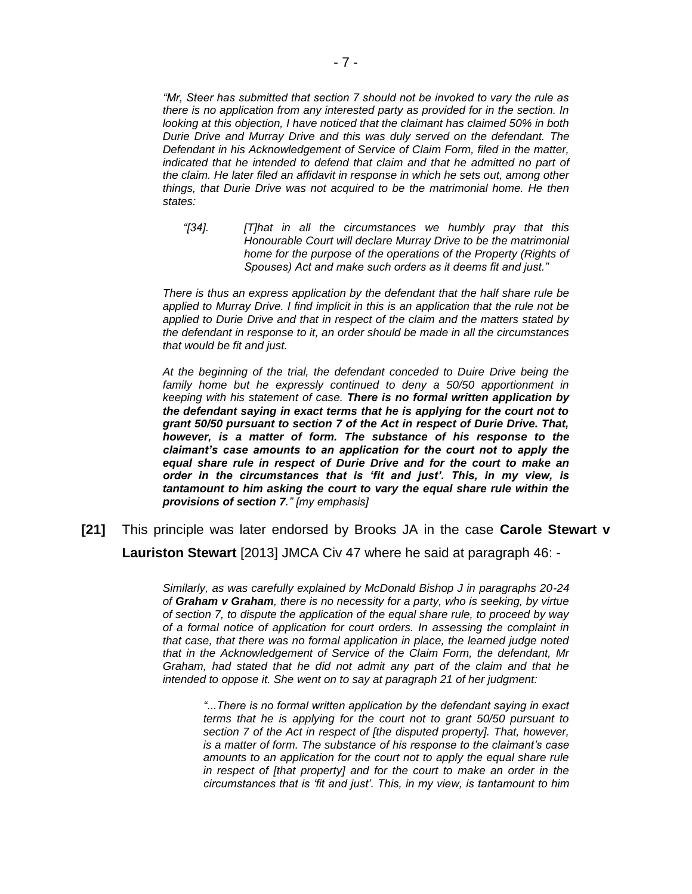*"Mr, Steer has submitted that section 7 should not be invoked to vary the rule as there is no application from any interested party as provided for in the section. In looking at this objection, I have noticed that the claimant has claimed 50% in both Durie Drive and Murray Drive and this was duly served on the defendant. The Defendant in his Acknowledgement of Service of Claim Form, filed in the matter, indicated that he intended to defend that claim and that he admitted no part of the claim. He later filed an affidavit in response in which he sets out, among other things, that Durie Drive was not acquired to be the matrimonial home. He then states:*

*"[34]. [T]hat in all the circumstances we humbly pray that this Honourable Court will declare Murray Drive to be the matrimonial home for the purpose of the operations of the Property (Rights of Spouses) Act and make such orders as it deems fit and just."*

*There is thus an express application by the defendant that the half share rule be applied to Murray Drive. I find implicit in this is an application that the rule not be applied to Durie Drive and that in respect of the claim and the matters stated by the defendant in response to it, an order should be made in all the circumstances that would be fit and just.*

*At the beginning of the trial, the defendant conceded to Duire Drive being the family home but he expressly continued to deny a 50/50 apportionment in keeping with his statement of case. There is no formal written application by the defendant saying in exact terms that he is applying for the court not to grant 50/50 pursuant to section 7 of the Act in respect of Durie Drive. That, however, is a matter of form. The substance of his response to the claimant's case amounts to an application for the court not to apply the equal share rule in respect of Durie Drive and for the court to make an order in the circumstances that is 'fit and just'. This, in my view, is tantamount to him asking the court to vary the equal share rule within the provisions of section 7." [my emphasis]*

**[21]** This principle was later endorsed by Brooks JA in the case **Carole Stewart v Lauriston Stewart** [2013] JMCA Civ 47 where he said at paragraph 46: -

> *Similarly, as was carefully explained by McDonald Bishop J in paragraphs 20-24 of Graham v Graham, there is no necessity for a party, who is seeking, by virtue of section 7, to dispute the application of the equal share rule, to proceed by way of a formal notice of application for court orders. In assessing the complaint in that case, that there was no formal application in place, the learned judge noted that in the Acknowledgement of Service of the Claim Form, the defendant, Mr Graham, had stated that he did not admit any part of the claim and that he intended to oppose it. She went on to say at paragraph 21 of her judgment:*

*"...There is no formal written application by the defendant saying in exact terms that he is applying for the court not to grant 50/50 pursuant to section 7 of the Act in respect of [the disputed property]. That, however, is a matter of form. The substance of his response to the claimant's case amounts to an application for the court not to apply the equal share rule in respect of [that property] and for the court to make an order in the circumstances that is 'fit and just'. This, in my view, is tantamount to him*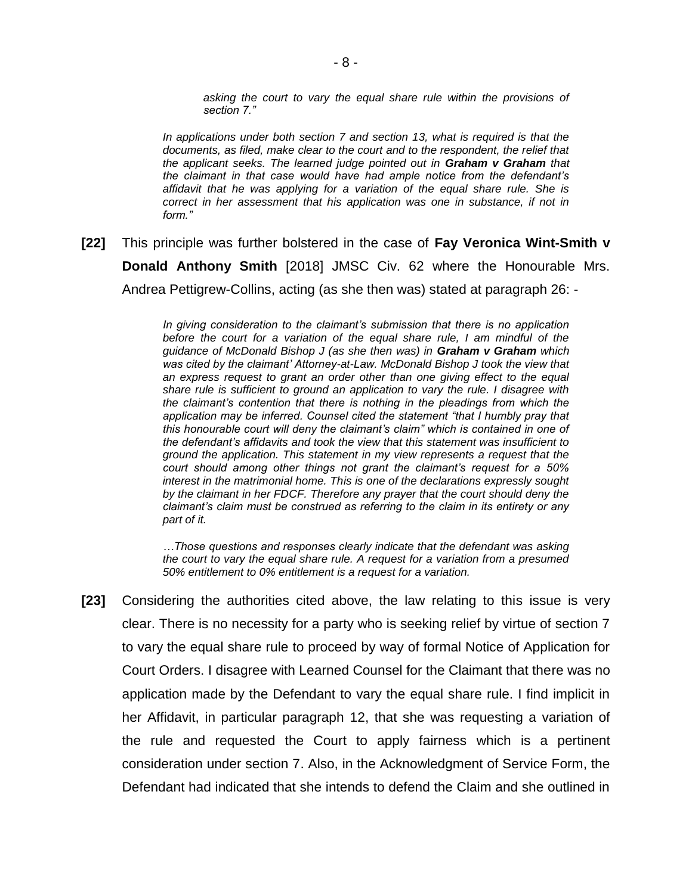*asking the court to vary the equal share rule within the provisions of section 7."*

*In applications under both section 7 and section 13, what is required is that the documents, as filed, make clear to the court and to the respondent, the relief that the applicant seeks. The learned judge pointed out in Graham v Graham that the claimant in that case would have had ample notice from the defendant's affidavit that he was applying for a variation of the equal share rule. She is correct in her assessment that his application was one in substance, if not in form."*

**[22]** This principle was further bolstered in the case of **Fay Veronica Wint-Smith v Donald Anthony Smith** [2018] JMSC Civ. 62 where the Honourable Mrs. Andrea Pettigrew-Collins, acting (as she then was) stated at paragraph 26: -

> *In giving consideration to the claimant's submission that there is no application before the court for a variation of the equal share rule, I am mindful of the guidance of McDonald Bishop J (as she then was) in Graham v Graham which*  was cited by the claimant' Attorney-at-Law. McDonald Bishop J took the view that an express request to grant an order other than one giving effect to the equal *share rule is sufficient to ground an application to vary the rule. I disagree with the claimant's contention that there is nothing in the pleadings from which the application may be inferred. Counsel cited the statement "that I humbly pray that this honourable court will deny the claimant's claim" which is contained in one of the defendant's affidavits and took the view that this statement was insufficient to ground the application. This statement in my view represents a request that the court should among other things not grant the claimant's request for a 50% interest in the matrimonial home. This is one of the declarations expressly sought by the claimant in her FDCF. Therefore any prayer that the court should deny the claimant's claim must be construed as referring to the claim in its entirety or any part of it.*

> *…Those questions and responses clearly indicate that the defendant was asking the court to vary the equal share rule. A request for a variation from a presumed 50% entitlement to 0% entitlement is a request for a variation.*

**[23]** Considering the authorities cited above, the law relating to this issue is very clear. There is no necessity for a party who is seeking relief by virtue of section 7 to vary the equal share rule to proceed by way of formal Notice of Application for Court Orders. I disagree with Learned Counsel for the Claimant that there was no application made by the Defendant to vary the equal share rule. I find implicit in her Affidavit, in particular paragraph 12, that she was requesting a variation of the rule and requested the Court to apply fairness which is a pertinent consideration under section 7. Also, in the Acknowledgment of Service Form, the Defendant had indicated that she intends to defend the Claim and she outlined in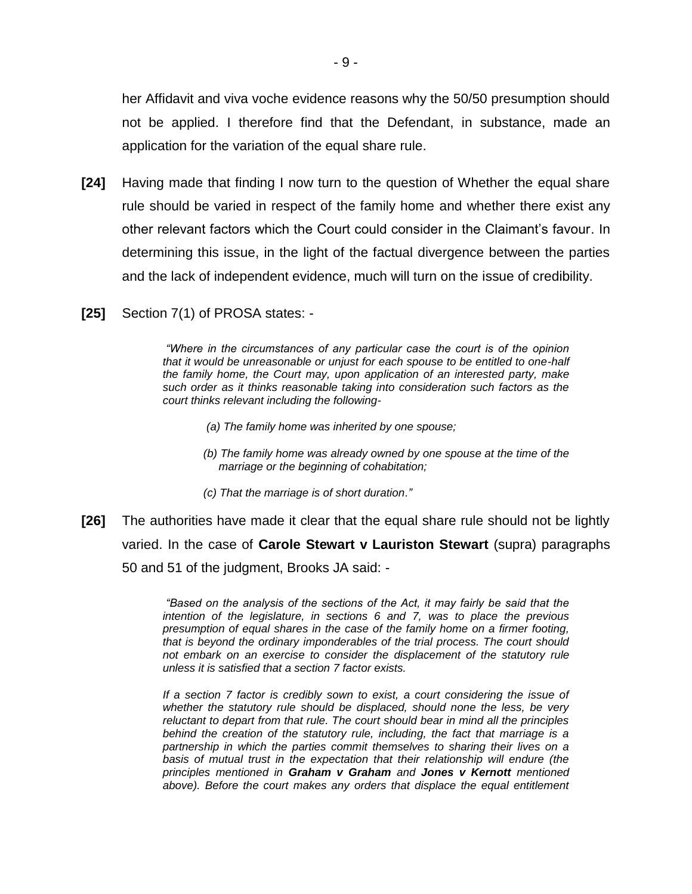her Affidavit and viva voche evidence reasons why the 50/50 presumption should not be applied. I therefore find that the Defendant, in substance, made an application for the variation of the equal share rule.

- **[24]** Having made that finding I now turn to the question of Whether the equal share rule should be varied in respect of the family home and whether there exist any other relevant factors which the Court could consider in the Claimant's favour. In determining this issue, in the light of the factual divergence between the parties and the lack of independent evidence, much will turn on the issue of credibility.
- **[25]** Section 7(1) of PROSA states: -

*"Where in the circumstances of any particular case the court is of the opinion that it would be unreasonable or unjust for each spouse to be entitled to one-half the family home, the Court may, upon application of an interested party, make such order as it thinks reasonable taking into consideration such factors as the court thinks relevant including the following-*

- *(a) The family home was inherited by one spouse;*
- *(b) The family home was already owned by one spouse at the time of the marriage or the beginning of cohabitation;*
- *(c) That the marriage is of short duration."*
- **[26]** The authorities have made it clear that the equal share rule should not be lightly varied. In the case of **Carole Stewart v Lauriston Stewart** (supra) paragraphs 50 and 51 of the judgment, Brooks JA said: -

*"Based on the analysis of the sections of the Act, it may fairly be said that the intention of the legislature, in sections 6 and 7, was to place the previous presumption of equal shares in the case of the family home on a firmer footing, that is beyond the ordinary imponderables of the trial process. The court should*  not embark on an exercise to consider the displacement of the statutory rule *unless it is satisfied that a section 7 factor exists.*

*If a section 7 factor is credibly sown to exist, a court considering the issue of whether the statutory rule should be displaced, should none the less, be very reluctant to depart from that rule. The court should bear in mind all the principles behind the creation of the statutory rule, including, the fact that marriage is a partnership in which the parties commit themselves to sharing their lives on a basis of mutual trust in the expectation that their relationship will endure (the principles mentioned in Graham v Graham and Jones v Kernott mentioned*  above). Before the court makes any orders that displace the equal entitlement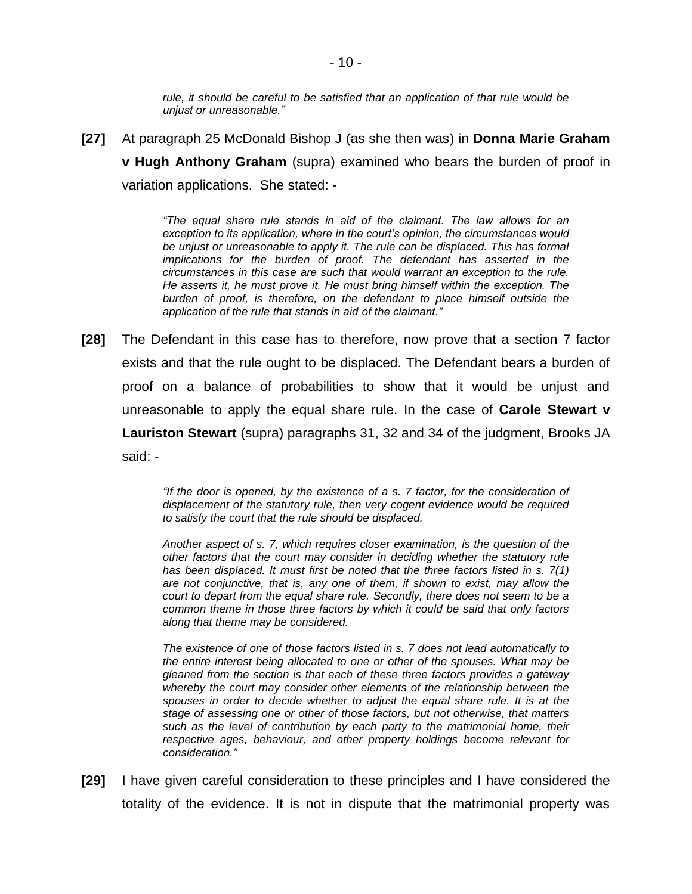*rule, it should be careful to be satisfied that an application of that rule would be unjust or unreasonable."*

**[27]** At paragraph 25 McDonald Bishop J (as she then was) in **Donna Marie Graham v Hugh Anthony Graham** (supra) examined who bears the burden of proof in variation applications. She stated: -

> *"The equal share rule stands in aid of the claimant. The law allows for an exception to its application, where in the court's opinion, the circumstances would*  be unjust or unreasonable to apply it. The rule can be displaced. This has formal *implications for the burden of proof. The defendant has asserted in the circumstances in this case are such that would warrant an exception to the rule. He asserts it, he must prove it. He must bring himself within the exception. The burden of proof, is therefore, on the defendant to place himself outside the application of the rule that stands in aid of the claimant."*

**[28]** The Defendant in this case has to therefore, now prove that a section 7 factor exists and that the rule ought to be displaced. The Defendant bears a burden of proof on a balance of probabilities to show that it would be unjust and unreasonable to apply the equal share rule. In the case of **Carole Stewart v Lauriston Stewart** (supra) paragraphs 31, 32 and 34 of the judgment, Brooks JA said: -

> *"If the door is opened, by the existence of a s. 7 factor, for the consideration of displacement of the statutory rule, then very cogent evidence would be required to satisfy the court that the rule should be displaced.*

> *Another aspect of s. 7, which requires closer examination, is the question of the other factors that the court may consider in deciding whether the statutory rule has been displaced. It must first be noted that the three factors listed in s. 7(1) are not conjunctive, that is, any one of them, if shown to exist, may allow the court to depart from the equal share rule. Secondly, there does not seem to be a common theme in those three factors by which it could be said that only factors along that theme may be considered.*

> *The existence of one of those factors listed in s. 7 does not lead automatically to the entire interest being allocated to one or other of the spouses. What may be gleaned from the section is that each of these three factors provides a gateway whereby the court may consider other elements of the relationship between the spouses in order to decide whether to adjust the equal share rule. It is at the stage of assessing one or other of those factors, but not otherwise, that matters such as the level of contribution by each party to the matrimonial home, their respective ages, behaviour, and other property holdings become relevant for consideration."*

**[29]** I have given careful consideration to these principles and I have considered the totality of the evidence. It is not in dispute that the matrimonial property was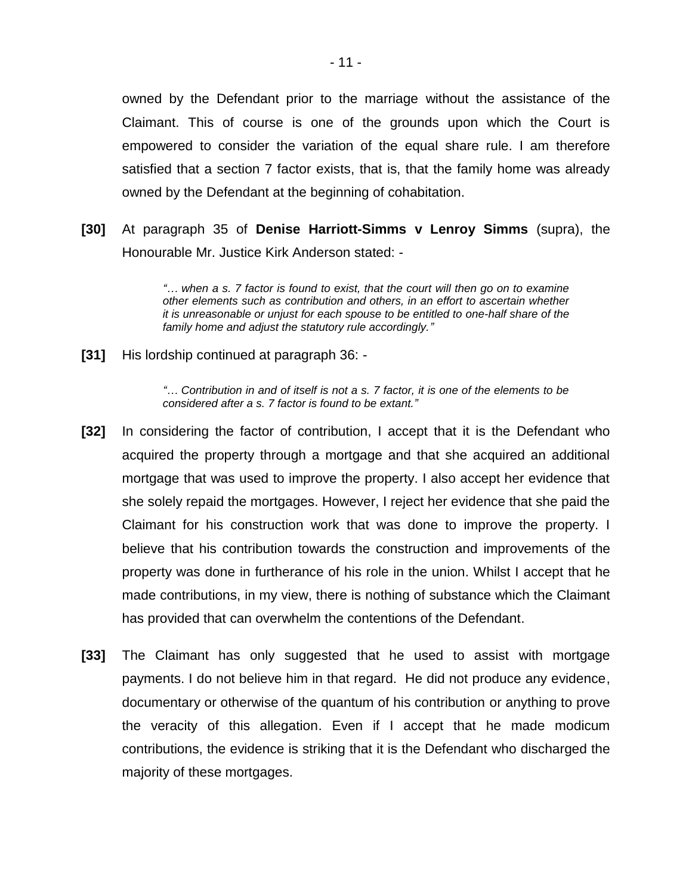owned by the Defendant prior to the marriage without the assistance of the Claimant. This of course is one of the grounds upon which the Court is empowered to consider the variation of the equal share rule. I am therefore satisfied that a section 7 factor exists, that is, that the family home was already owned by the Defendant at the beginning of cohabitation.

**[30]** At paragraph 35 of **Denise Harriott-Simms v Lenroy Simms** (supra), the Honourable Mr. Justice Kirk Anderson stated: -

> *"… when a s. 7 factor is found to exist, that the court will then go on to examine other elements such as contribution and others, in an effort to ascertain whether it is unreasonable or unjust for each spouse to be entitled to one-half share of the family home and adjust the statutory rule accordingly."*

**[31]** His lordship continued at paragraph 36: -

*"… Contribution in and of itself is not a s. 7 factor, it is one of the elements to be considered after a s. 7 factor is found to be extant."*

- **[32]** In considering the factor of contribution, I accept that it is the Defendant who acquired the property through a mortgage and that she acquired an additional mortgage that was used to improve the property. I also accept her evidence that she solely repaid the mortgages. However, I reject her evidence that she paid the Claimant for his construction work that was done to improve the property. I believe that his contribution towards the construction and improvements of the property was done in furtherance of his role in the union. Whilst I accept that he made contributions, in my view, there is nothing of substance which the Claimant has provided that can overwhelm the contentions of the Defendant.
- **[33]** The Claimant has only suggested that he used to assist with mortgage payments. I do not believe him in that regard. He did not produce any evidence, documentary or otherwise of the quantum of his contribution or anything to prove the veracity of this allegation. Even if I accept that he made modicum contributions, the evidence is striking that it is the Defendant who discharged the majority of these mortgages.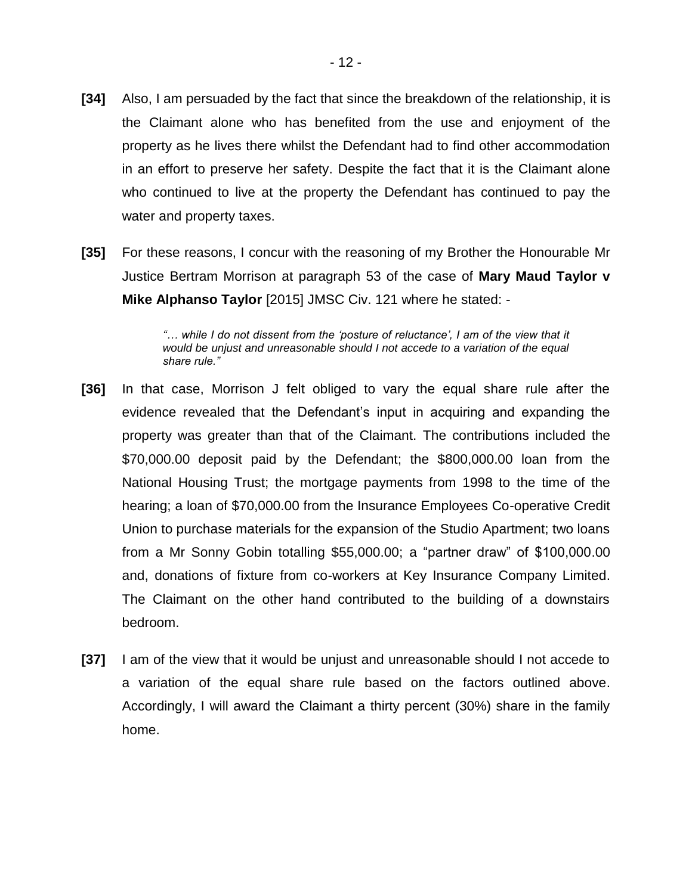- **[34]** Also, I am persuaded by the fact that since the breakdown of the relationship, it is the Claimant alone who has benefited from the use and enjoyment of the property as he lives there whilst the Defendant had to find other accommodation in an effort to preserve her safety. Despite the fact that it is the Claimant alone who continued to live at the property the Defendant has continued to pay the water and property taxes.
- **[35]** For these reasons, I concur with the reasoning of my Brother the Honourable Mr Justice Bertram Morrison at paragraph 53 of the case of **Mary Maud Taylor v Mike Alphanso Taylor** [2015] JMSC Civ. 121 where he stated: -

*"… while I do not dissent from the 'posture of reluctance', I am of the view that it would be unjust and unreasonable should I not accede to a variation of the equal share rule."*

- **[36]** In that case, Morrison J felt obliged to vary the equal share rule after the evidence revealed that the Defendant's input in acquiring and expanding the property was greater than that of the Claimant. The contributions included the \$70,000.00 deposit paid by the Defendant; the \$800,000.00 loan from the National Housing Trust; the mortgage payments from 1998 to the time of the hearing; a loan of \$70,000.00 from the Insurance Employees Co-operative Credit Union to purchase materials for the expansion of the Studio Apartment; two loans from a Mr Sonny Gobin totalling \$55,000.00; a "partner draw" of \$100,000.00 and, donations of fixture from co-workers at Key Insurance Company Limited. The Claimant on the other hand contributed to the building of a downstairs bedroom.
- **[37]** I am of the view that it would be unjust and unreasonable should I not accede to a variation of the equal share rule based on the factors outlined above. Accordingly, I will award the Claimant a thirty percent (30%) share in the family home.